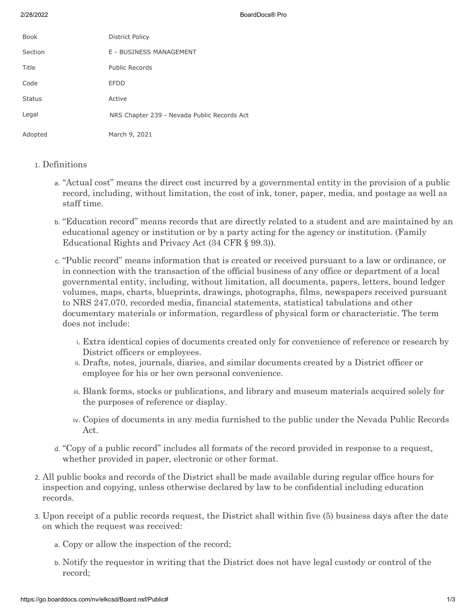2/28/2022 BoardDocs® Pro

| <b>Book</b>   | District Policy                             |
|---------------|---------------------------------------------|
| Section       | E - BUSINESS MANAGEMENT                     |
| Title         | Public Records                              |
| Code          | <b>EFDD</b>                                 |
| <b>Status</b> | Active                                      |
| Legal         | NRS Chapter 239 - Nevada Public Records Act |
| Adopted       | March 9, 2021                               |

## 1. Definitions

- a. "Actual cost" means the direct cost incurred by a governmental entity in the provision of a public record, including, without limitation, the cost of ink, toner, paper, media, and postage as well as staff time.
- b. "Education record" means records that are directly related to a student and are maintained by an educational agency or institution or by a party acting for the agency or institution. (Family Educational Rights and Privacy Act (34 CFR § 99.3)).
- c. "Public record" means information that is created or received pursuant to a law or ordinance, or in connection with the transaction of the official business of any office or department of a local governmental entity, including, without limitation, all documents, papers, letters, bound ledger volumes, maps, charts, blueprints, drawings, photographs, films, newspapers received pursuant to NRS 247.070, recorded media, financial statements, statistical tabulations and other documentary materials or information, regardless of physical form or characteristic. The term does not include:
	- i. Extra identical copies of documents created only for convenience of reference or research by District officers or employees.
	- ii. Drafts, notes, journals, diaries, and similar documents created by a District officer or employee for his or her own personal convenience.
	- iii. Blank forms, stocks or publications, and library and museum materials acquired solely for the purposes of reference or display.
	- iv. Copies of documents in any media furnished to the public under the Nevada Public Records Act.
- d. "Copy of a public record" includes all formats of the record provided in response to a request, whether provided in paper, electronic or other format.
- 2. All public books and records of the District shall be made available during regular office hours for inspection and copying, unless otherwise declared by law to be confidential including education records.
- 3. Upon receipt of a public records request, the District shall within five (5) business days after the date on which the request was received:
	- a. Copy or allow the inspection of the record;
	- b. Notify the requestor in writing that the District does not have legal custody or control of the record;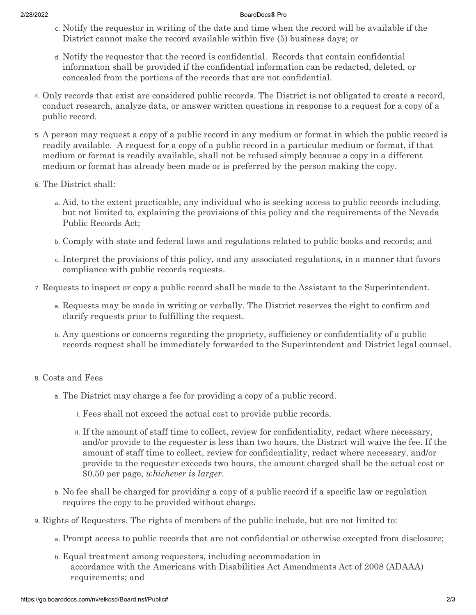## 2/28/2022 BoardDocs® Pro

- c. Notify the requestor in writing of the date and time when the record will be available if the District cannot make the record available within five (5) business days; or
- d. Notify the requestor that the record is confidential. Records that contain confidential information shall be provided if the confidential information can be redacted, deleted, or concealed from the portions of the records that are not confidential.
- 4. Only records that exist are considered public records. The District is not obligated to create a record, conduct research, analyze data, or answer written questions in response to a request for a copy of a public record.
- 5. A person may request a copy of a public record in any medium or format in which the public record is readily available. A request for a copy of a public record in a particular medium or format, if that medium or format is readily available, shall not be refused simply because a copy in a different medium or format has already been made or is preferred by the person making the copy.
- 6. The District shall:
	- a. Aid, to the extent practicable, any individual who is seeking access to public records including, but not limited to, explaining the provisions of this policy and the requirements of the Nevada Public Records Act;
	- b. Comply with state and federal laws and regulations related to public books and records; and
	- c. Interpret the provisions of this policy, and any associated regulations, in a manner that favors compliance with public records requests.
- 7. Requests to inspect or copy a public record shall be made to the Assistant to the Superintendent.
	- a. Requests may be made in writing or verbally. The District reserves the right to confirm and clarify requests prior to fulfilling the request.
	- b. Any questions or concerns regarding the propriety, sufficiency or confidentiality of a public records request shall be immediately forwarded to the Superintendent and District legal counsel.

## 8. Costs and Fees

- a. The District may charge a fee for providing a copy of a public record.
	- i. Fees shall not exceed the actual cost to provide public records.
	- ii. If the amount of staff time to collect, review for confidentiality, redact where necessary, and/or provide to the requester is less than two hours, the District will waive the fee. If the amount of staff time to collect, review for confidentiality, redact where necessary, and/or provide to the requester exceeds two hours, the amount charged shall be the actual cost or \$0.50 per page, *whichever is larger*.
- b. No fee shall be charged for providing a copy of a public record if a specific law or regulation requires the copy to be provided without charge.
- 9. Rights of Requesters. The rights of members of the public include, but are not limited to:
	- a. Prompt access to public records that are not confidential or otherwise excepted from disclosure;
	- b. Equal treatment among requesters, including accommodation in accordance with the Americans with Disabilities Act Amendments Act of 2008 (ADAAA) requirements; and